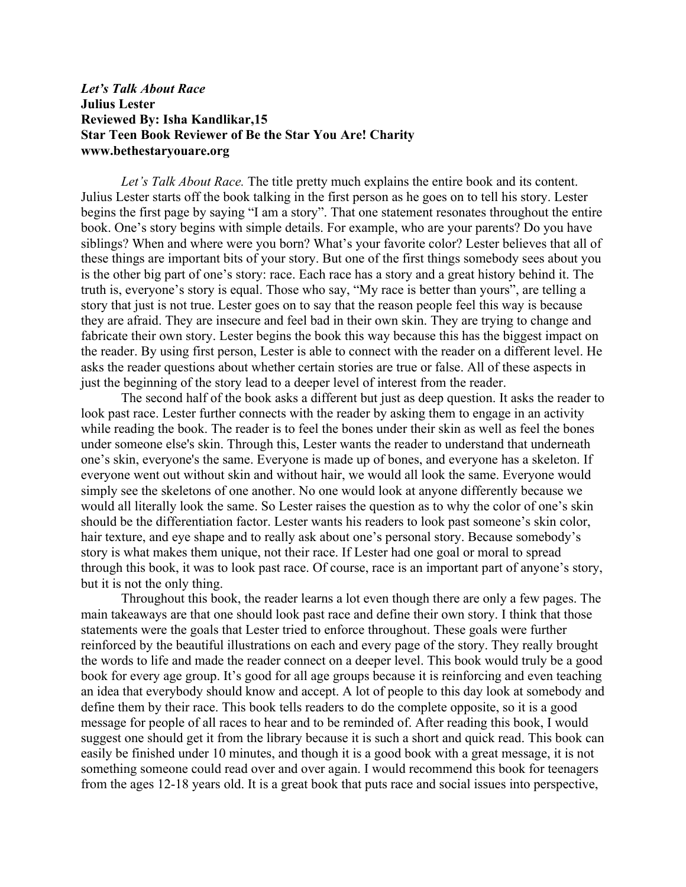## *Let's Talk About Race* **Julius Lester Reviewed By: Isha Kandlikar,15 Star Teen Book Reviewer of Be the Star You Are! Charity www.bethestaryouare.org**

*Let's Talk About Race.* The title pretty much explains the entire book and its content. Julius Lester starts off the book talking in the first person as he goes on to tell his story. Lester begins the first page by saying "I am a story". That one statement resonates throughout the entire book. One's story begins with simple details. For example, who are your parents? Do you have siblings? When and where were you born? What's your favorite color? Lester believes that all of these things are important bits of your story. But one of the first things somebody sees about you is the other big part of one's story: race. Each race has a story and a great history behind it. The truth is, everyone's story is equal. Those who say, "My race is better than yours", are telling a story that just is not true. Lester goes on to say that the reason people feel this way is because they are afraid. They are insecure and feel bad in their own skin. They are trying to change and fabricate their own story. Lester begins the book this way because this has the biggest impact on the reader. By using first person, Lester is able to connect with the reader on a different level. He asks the reader questions about whether certain stories are true or false. All of these aspects in just the beginning of the story lead to a deeper level of interest from the reader.

The second half of the book asks a different but just as deep question. It asks the reader to look past race. Lester further connects with the reader by asking them to engage in an activity while reading the book. The reader is to feel the bones under their skin as well as feel the bones under someone else's skin. Through this, Lester wants the reader to understand that underneath one's skin, everyone's the same. Everyone is made up of bones, and everyone has a skeleton. If everyone went out without skin and without hair, we would all look the same. Everyone would simply see the skeletons of one another. No one would look at anyone differently because we would all literally look the same. So Lester raises the question as to why the color of one's skin should be the differentiation factor. Lester wants his readers to look past someone's skin color, hair texture, and eye shape and to really ask about one's personal story. Because somebody's story is what makes them unique, not their race. If Lester had one goal or moral to spread through this book, it was to look past race. Of course, race is an important part of anyone's story, but it is not the only thing.

Throughout this book, the reader learns a lot even though there are only a few pages. The main takeaways are that one should look past race and define their own story. I think that those statements were the goals that Lester tried to enforce throughout. These goals were further reinforced by the beautiful illustrations on each and every page of the story. They really brought the words to life and made the reader connect on a deeper level. This book would truly be a good book for every age group. It's good for all age groups because it is reinforcing and even teaching an idea that everybody should know and accept. A lot of people to this day look at somebody and define them by their race. This book tells readers to do the complete opposite, so it is a good message for people of all races to hear and to be reminded of. After reading this book, I would suggest one should get it from the library because it is such a short and quick read. This book can easily be finished under 10 minutes, and though it is a good book with a great message, it is not something someone could read over and over again. I would recommend this book for teenagers from the ages 12-18 years old. It is a great book that puts race and social issues into perspective,